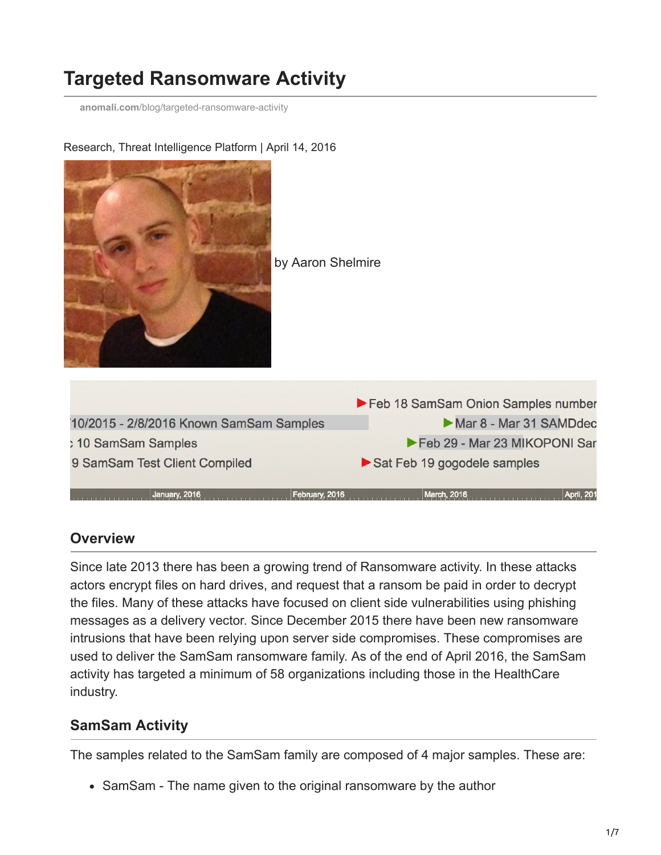# **Targeted Ransomware Activity**

**anomali.com**[/blog/targeted-ransomware-activity](https://www.anomali.com/blog/targeted-ransomware-activity)



Research, Threat Intelligence Platform | April 14, 2016

### **Overview**

Since late 2013 there has been a growing trend of Ransomware activity. In these attacks actors encrypt files on hard drives, and request that a ransom be paid in order to decrypt the files. Many of these attacks have focused on client side vulnerabilities using phishing messages as a delivery vector. Since December 2015 there have been new ransomware intrusions that have been relying upon server side compromises. These compromises are used to deliver the SamSam ransomware family. As of the end of April 2016, the SamSam activity has targeted a minimum of 58 organizations including those in the HealthCare industry.

# **SamSam Activity**

The samples related to the SamSam family are composed of 4 major samples. These are:

• SamSam - The name given to the original ransomware by the author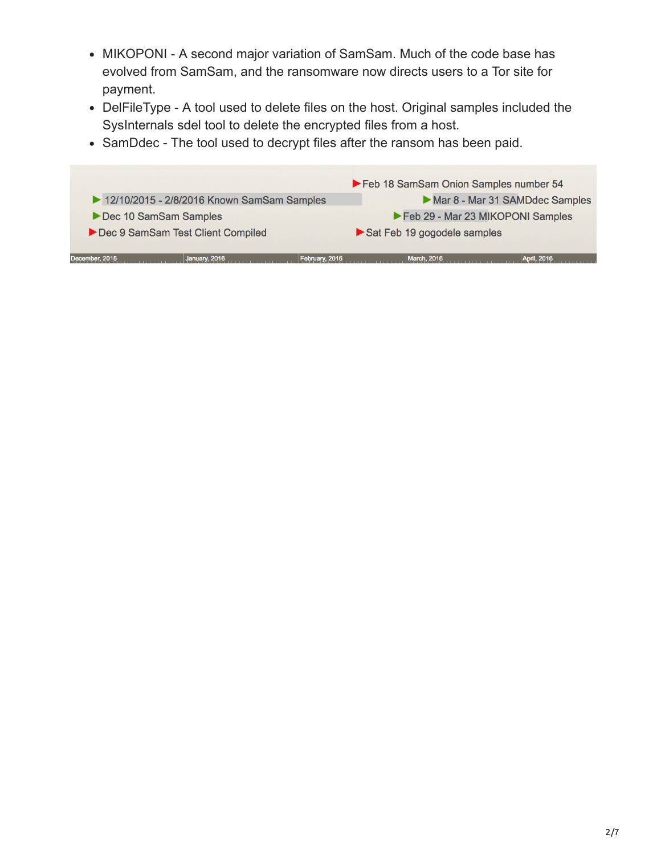- MIKOPONI A second major variation of SamSam. Much of the code base has evolved from SamSam, and the ransomware now directs users to a Tor site for payment.
- DelFileType A tool used to delete files on the host. Original samples included the SysInternals sdel tool to delete the encrypted files from a host.
- SamDdec The tool used to decrypt files after the ransom has been paid.

| December, 2015                             | January, 2016 | February, 2016 | <b>March, 2016</b>                    | April, 2016                    |
|--------------------------------------------|---------------|----------------|---------------------------------------|--------------------------------|
| Dec 9 SamSam Test Client Compiled          |               |                | Sat Feb 19 gogodele samples           |                                |
| Dec 10 SamSam Samples                      |               |                | Feb 29 - Mar 23 MIKOPONI Samples      |                                |
| 12/10/2015 - 2/8/2016 Known SamSam Samples |               |                |                                       | Mar 8 - Mar 31 SAMDdec Samples |
|                                            |               |                | Feb 18 SamSam Onion Samples number 54 |                                |
|                                            |               |                |                                       |                                |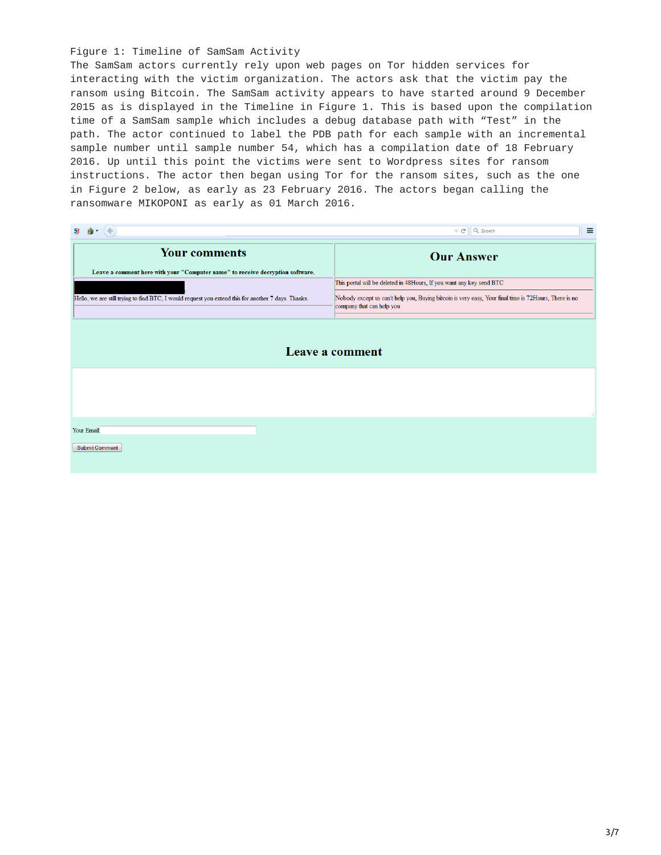#### Figure 1: Timeline of SamSam Activity

The SamSam actors currently rely upon web pages on Tor hidden services for interacting with the victim organization. The actors ask that the victim pay the ransom using Bitcoin. The SamSam activity appears to have started around 9 December 2015 as is displayed in the Timeline in Figure 1. This is based upon the compilation time of a SamSam sample which includes a debug database path with "Test" in the path. The actor continued to label the PDB path for each sample with an incremental sample number until sample number 54, which has a compilation date of 18 February 2016. Up until this point the victims were sent to Wordpress sites for ransom instructions. The actor then began using Tor for the ransom sites, such as the one in Figure 2 below, as early as 23 February 2016. The actors began calling the ransomware MIKOPONI as early as 01 March 2016.

| SI                                                                                                                                                                                    | $\equiv$<br>Q Search<br>$\triangledown$ $C^i$                                                                                                                                                              |  |  |  |  |
|---------------------------------------------------------------------------------------------------------------------------------------------------------------------------------------|------------------------------------------------------------------------------------------------------------------------------------------------------------------------------------------------------------|--|--|--|--|
| <b>Your comments</b>                                                                                                                                                                  | <b>Our Answer</b>                                                                                                                                                                                          |  |  |  |  |
| Leave a comment here with your "Computer name" to receive decryption software.<br>Hello, we are still trying to find BTC, I would request you extend this for another 7 days. Thanks. | This portal will be deleted in 48Hours, If you want any key send BTC<br>Nobody except us can't help you, Buying bitcoin is very easy, Your final time is 72Hours, There is no<br>company that can help you |  |  |  |  |
| Leave a comment                                                                                                                                                                       |                                                                                                                                                                                                            |  |  |  |  |
|                                                                                                                                                                                       | иł                                                                                                                                                                                                         |  |  |  |  |
| Your Email:<br><b>Submit Comment</b>                                                                                                                                                  |                                                                                                                                                                                                            |  |  |  |  |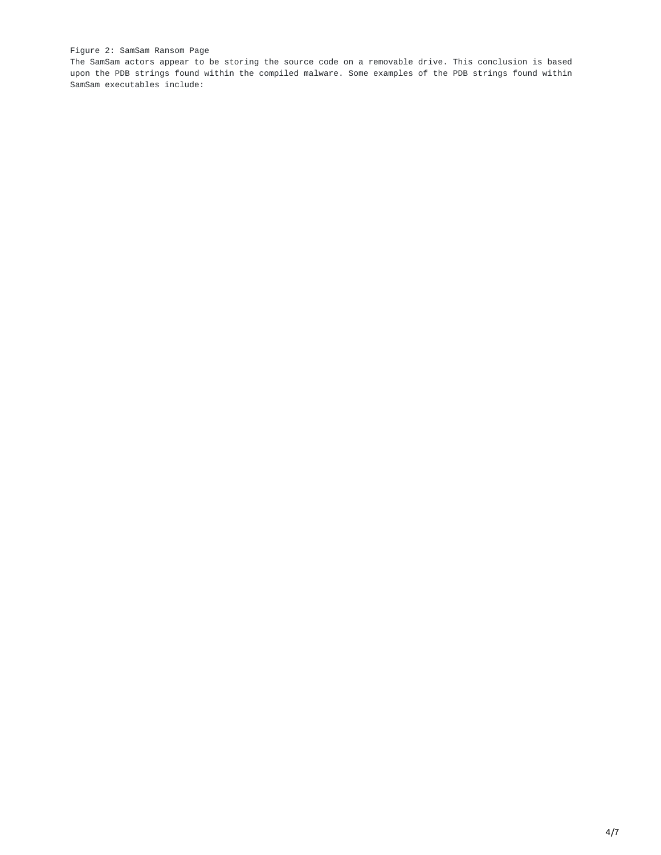#### Figure 2: SamSam Ransom Page

The SamSam actors appear to be storing the source code on a removable drive. This conclusion is based upon the PDB strings found within the compiled malware. Some examples of the PDB strings found within SamSam executables include: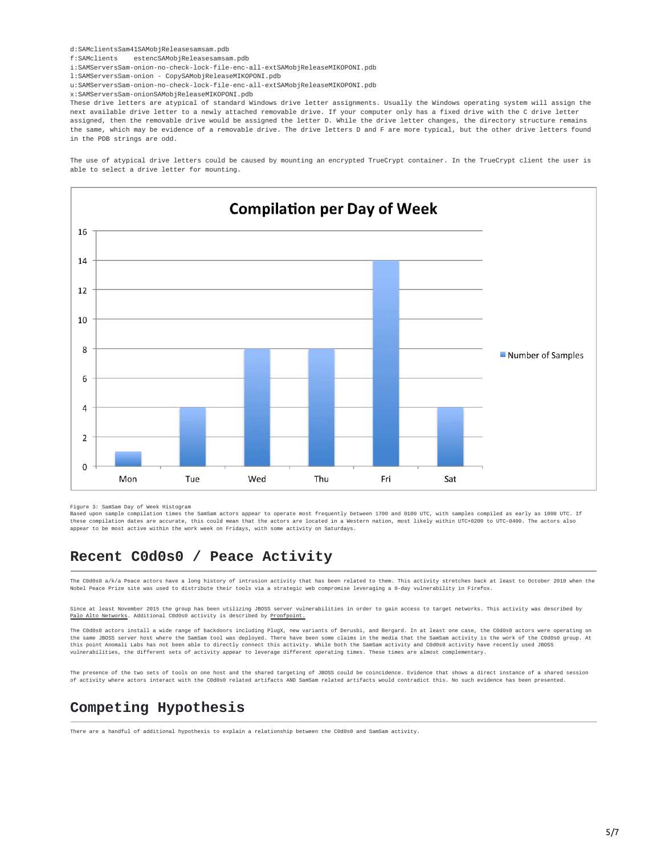d:SAMclientsSam41SAMobjReleasesamsam.pdb

f:SAMclients estencSAMobjReleasesamsam.pdb

i:SAMServersSam-onion-no-check-lock-file-enc-all-extSAMobiReleaseMIKOPONI.pdb

l:SAMServersSam-onion - CopySAMobjReleaseMIKOPONI.pdb

u:SAMServersSam-onion-no-check-lock-file-enc-all-extSAMobjReleaseMIKOPONI.pdb

x:SAMServersSam-onionSAMobjReleaseMIKOPONI.pdb

These drive letters are atypical of standard Windows drive letter assignments. Usually the Windows operating system will assign the next available drive letter to a newly attached removable drive. If your computer only has a fixed drive with the C drive letter assigned, then the removable drive would be assigned the letter D. While the drive letter changes, the directory structure remains the same, which may be evidence of a removable drive. The drive letters D and F are more typical, but the other drive letters found in the PDB strings are odd.

The use of atypical drive letters could be caused by mounting an encrypted TrueCrypt container. In the TrueCrypt client the user is able to select a drive letter for mounting.



Figure 3: SamSam Day of Week Histogram

Based upon sample compilation times the SamSam actors appear to operate most frequently between 1700 and 0100 UTC, with samples compiled as early as 1000 UTC. If these compilation dates are accurate, this could mean that the actors are located in a Western nation, most likely within UTC+0200 to UTC-0400. The actors also appear to be most active within the work week on Fridays, with some activity on Saturdays.

## **Recent C0d0s0 / Peace Activity**

The C0d0s0 a/k/a Peace actors have a long history of intrusion activity that has been related to them. This activity stretches back at least to October 2010 when the Nobel Peace Prize site was used to distribute their tools via a strategic web compromise leveraging a 0-day vulnerability in Firefox.

Since at least November 2015 the group has been utilizing JBOSS server vulnerabilities in order to gain access to target networks. This activity was described by Palo Alto [Networks](http://researchcenter.paloaltonetworks.com/2016/01/new-attacks-linked-to-c0d0s0-group/). Additional C0d0s0 activity is described by [Proofpoint.](http://www.proofpoint.com/us/exploring-bergard-old-malware-new-tricks)

The C0d0s0 actors install a wide range of backdoors including PlugX, new variants of Derusbi, and Bergard. In at least one case, the C0d0s0 actors were operating on the same JBOSS server host where the SamSam tool was deployed. There have been some claims in the media that the SamSam activity is the work of the C0d0s0 group. At<br>this point Anomali Labs has not been able to directly con vulnerabilities, the different sets of activity appear to leverage different operating times. These times are almost complementary.

The presence of the two sets of tools on one host and the shared targeting of JBOSS could be coincidence. Evidence that shows a direct instance of a shared session of activity where actors interact with the C0d0s0 related artifacts AND SamSam related artifacts would contradict this. No such evidence has been presented.

## **Competing Hypothesis**

There are a handful of additional hypothesis to explain a relationship between the C0d0s0 and SamSam activity.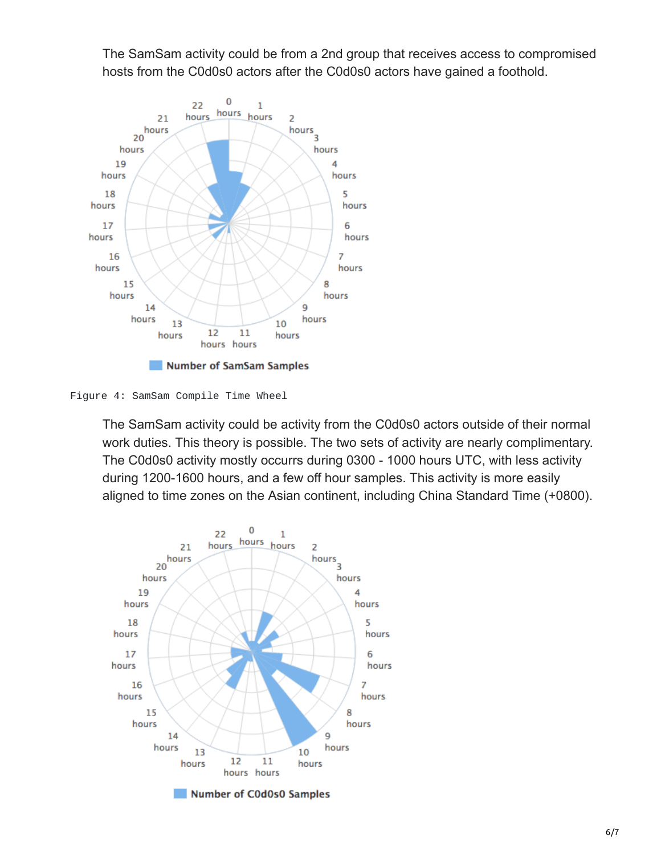The SamSam activity could be from a 2nd group that receives access to compromised hosts from the C0d0s0 actors after the C0d0s0 actors have gained a foothold.



Figure 4: SamSam Compile Time Wheel

The SamSam activity could be activity from the C0d0s0 actors outside of their normal work duties. This theory is possible. The two sets of activity are nearly complimentary. The C0d0s0 activity mostly occurrs during 0300 - 1000 hours UTC, with less activity during 1200-1600 hours, and a few off hour samples. This activity is more easily aligned to time zones on the Asian continent, including China Standard Time (+0800).